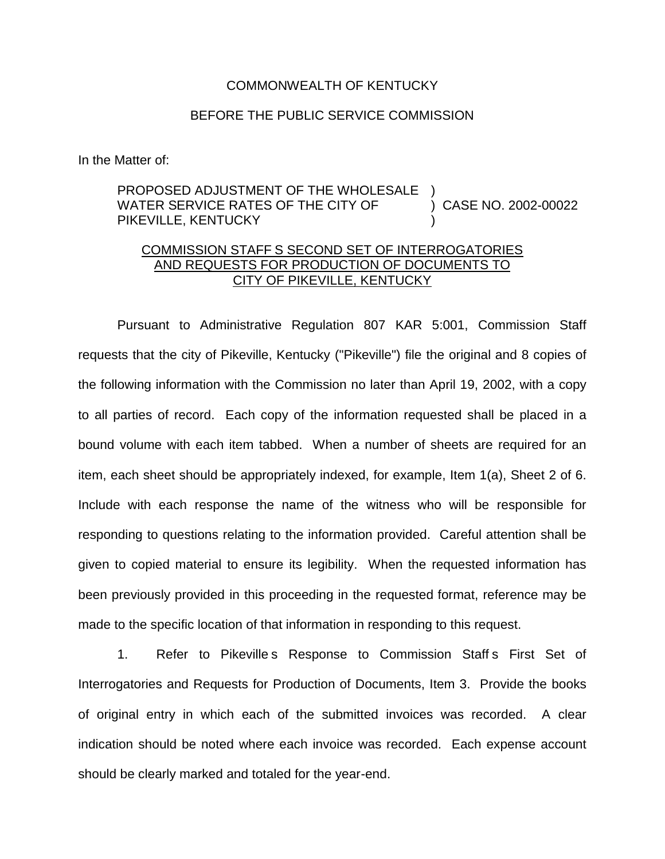## COMMONWEALTH OF KENTUCKY

## BEFORE THE PUBLIC SERVICE COMMISSION

In the Matter of:

## PROPOSED ADJUSTMENT OF THE WHOLESALE WATER SERVICE RATES OF THE CITY OF PIKEVILLE, KENTUCKY ) ) CASE NO. 2002-00022 )

## COMMISSION STAFF S SECOND SET OF INTERROGATORIES AND REQUESTS FOR PRODUCTION OF DOCUMENTS TO CITY OF PIKEVILLE, KENTUCKY

Pursuant to Administrative Regulation 807 KAR 5:001, Commission Staff requests that the city of Pikeville, Kentucky ("Pikeville") file the original and 8 copies of the following information with the Commission no later than April 19, 2002, with a copy to all parties of record. Each copy of the information requested shall be placed in a bound volume with each item tabbed. When a number of sheets are required for an item, each sheet should be appropriately indexed, for example, Item 1(a), Sheet 2 of 6. Include with each response the name of the witness who will be responsible for responding to questions relating to the information provided. Careful attention shall be given to copied material to ensure its legibility. When the requested information has been previously provided in this proceeding in the requested format, reference may be made to the specific location of that information in responding to this request.

1. Refer to Pikeville s Response to Commission Staff s First Set of Interrogatories and Requests for Production of Documents, Item 3. Provide the books of original entry in which each of the submitted invoices was recorded. A clear indication should be noted where each invoice was recorded. Each expense account should be clearly marked and totaled for the year-end.